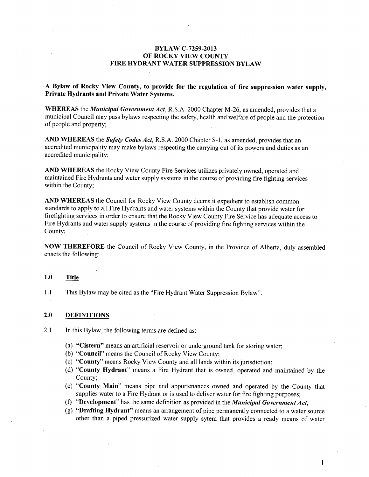### BYLAW C-7259-2013 OF ROCKY VIEW COUNTY FIRE HYDRANT WATER SUPPRESSION BYLAW

# $A$  Bylaw of Rocky View County, to provide for the regulation of fire suppression water supply, Private Hydrants and Private Water Systems.

WHEREAS the *Municipal Government Act*, R.S.A. 2000 Chapter M-26, as amended, provides that a municipal Council may pass bylaws respecting the safety, health and welfare of people and the protection of people and property;

AND WHEREAS the Safety Codes Act, R.S.A. 2000 Chapter S-1, as amended, provides that an accredited municipality may make bylaws respecting the carrying out of its powers and duties as an accredited municipality;

AND WHEREAS the Rocky View County Fire Services utilizes privately owned, operated and maintained Fire Hydrants and water supply systems in the course of providing fire fighting services within the County;

AND WHEREAS the Council for Rocky View County deems it expedient to establish common standards to apply to all Fire Hydrants and water systems within the County that provide water for firefighting services in order to ensure that the Rocky View County Fire Service has adequate access to Fire Hydrants and water supply systems in the course of providing fire fighting services within the County;

NOW THEREFORE the Council of Rocky View County, in the Province of Alberta, duly assembled enacts the following:

#### 1.0 Title

1.1 This Bylaw may be cited as the "Fire Hydrant Water Suppression Bylaw".

### 2.0 DEFINITIONS

- 2.1 In this Bylaw, the following terms are defined as:
	- (a) "Cistern" means an artificial reservoir or underground tank for storing water;
	- (b) "Council" means the Council of Rocky View County;
	- (c) "County" means Rocky View County and all lands within its jurisdiction;
	- (d) "County Hydrant" means a Fire Hydrant that is owned, operated and maintained by the County;
	- (e) "County Main" means pipe and appurtenances owned and operated by the County that supplies water to a Fire Hydrant or is used to deliver water for fire fighting purposes;
	- (f) "Development" has the same definition as provided in the *Municipal Government Act*;
	- (g) "Drafting Hydrant" means an arrangement of pipe permanently connected to a water source other than a piped pressurized water supply sytem that provides a ready means of water

 $\mathbf{1}$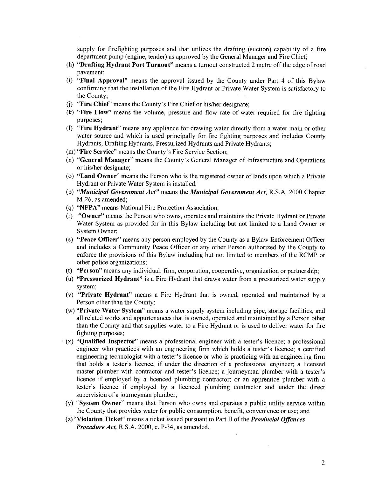supply for firefighting purposes and that utilizes the drafting (suction) capability of a fire department pump (engine, tender) as approved by the General Manager and Fire Chief;

- (h) "Drafting Hydrant Port Turnout" means a turnout constructed 2 metre off the edge of road pavement;
- (i) "Final Approval" means the approval issued by the County under Part 4 of this Bylaw confirming that the installation of the Fire Hydrant or Private Water System is satisfactory to the County;
- (j) "Fire Chief" means the County's Fire Chief or his/her designate;
- (k) "Fire Flow" means the volume, pressure and flow rate of water required for fire fighting purposes;
- (1) "Fire Hydrant" means any appliance for drawing water directly from a water main or other water source and which is used principally for fire fighting purposes and includes County Hydrants, Drafting Hydrants, Pressurized Hydrants and Private Hydrants;
- (m) "Fire Service" means the County's Fire Service Section;
- (n) "General Manager" means the County's General Manager of Infrastructure and Operations or his/her designate;
- (o) "Land Owner" means the Person who is the registered owner of lands upon which a Private Hydrant or Private Water System is installed;
- (p) "Municipal Government Act" means the Municipal Government Act, R.S.A. 2000 Chapter M-26, as amended;
- (q) "NFPA" means National Fire Protection Association;
- (r) "Owner" means the Person who owns, operates and maintains the Private Hydrant or Private Water System as provided for in this Bylaw including but not limited to a Land Owner or System Owner;
- (s) "Peace Officer" means any person employed by the County as a Bylaw Enforcement Officer and includes a Community Peace Officer or any other Person authorized by the County to enforce the provisions of this Bylaw including but not limited to members of the RCMP or other police organizations;
- (t) "Person" means any individual, firm, corporation, cooperative, organization or partnership;
- (u) "Pressurized Hydrant" is a Fire Hydrant that draws water from a pressurized water supply system;
- (v) "Private Hydrant" means a Fire Hydrant that is owned, operated and maintained by a Person other than the County;
- (w) "Private Water System" means a water supply system including pipe, storage facilities, and all related works and appurtenances that is owned, operated and maintained by a Person other than the County and that supplies water to a Fire Hydrant or is used to deliver water for fire fighting purposes;
- $(x)$  "Qualified Inspector" means a professional engineer with a tester's licence; a professional engineer who practices with an engineering firm which holds a tester's licence; a certified engineering technologist with a tester's licence or who is practicing with an engineering firm that holds a tester's licence, if under the direction of a professional engineer; a licensed master plumber with contractor and tester's licence; a journeyman plumber with a tester's licence if employed by a licenced plumbing contractor; or an apprentice plumber with a tester's licence if employed by a licenced plumbing contractor and under the direct supervision of a journeyman plumber;
- $(y)$  "System Owner" means that Person who owns and operates a public utility service within the County that provides water for public consumption, benefit, convenience or use; and
- $(z)$  "Violation Ticket" means a ticket issued pursuant to Part II of the *Provincial Offences* Procedure Act, R.S.A. 2000, c. P-34, as amended.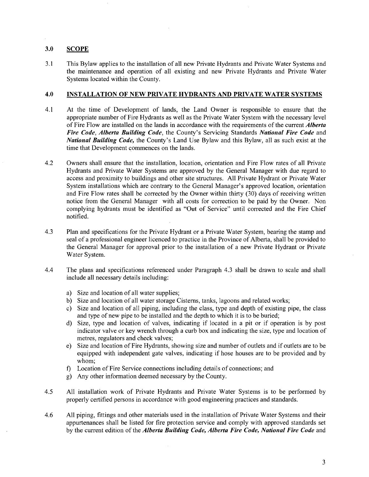# 3.0 SCOPE

3.1 This Bylaw applies to the installation of all new Private Hydrants and Private Water Systems and the maintenance and operation of all existing and new Private Hydrants and Private Water Systems located within the County.

# 4.0 INSTALLATION OF NEW PRIVATE HYDRANTS AND PRIVATE WATER SYSTEMS

- 4.1 At the time of Development of lands, the Land Owner is responsible to ensure that the appropriate number of Fire Hydrants as well as the Private Water System with the necessary level of Fire Flow are installed on the lands in accordance with the requirements of the current *Alberta* Fire Code, Alberta Building Code, the County's Servicing Standards National Fire Code and National Building Code, the County's Land Use Bylaw and this Bylaw, all as such exist at the time that Development commences on the lands.
- 4.2 Owners shall ensure that the installation, location, orientation and Fire Flow rates of all Private Hydrants and Private Water Systems are approved by the General Manager with due regard to access and proximity to buildings and other site structures. All Private Hydrant or Private Water System installations which are contrary to the General Manager's approved location, orientation and Fire Flow rates shall be corrected by the Owner within thirty (30) days of receiving written notice from the General Manager with all costs for correction to be paid by the Owner. Non complying hydrants must be identified as "Out of Service" until corrected and the Fire Chief notified.
- 4.3 Plan and specifications for the Private Hydrant or a Private Water System, bearing the stamp and seal of a professional engineer licenced to practice in the Province of Alberta, shall be provided to the General Manager for approval prior to the installation of a new Private Hydrant or Private Water System.
- 4.4 The plans and specifications referenced under Paragraph 4.3 shall be drawn to scale and shall include all necessary details including:
	- a) Size and location of all water supplies;
	- b) Size and location of all water storage Cisterns, tanks, lagoons and related works;
	- c) Size and location of all piping, including the class, type and depth of existing pipe, the class and type of new pipe to be installed and the depth to which it is to be buried;
	- d) Size, type and location of valves, indicating if located in pit or if operation is by post indicator valve or key wrench through a curb box and indicating the size, type and location of metres, regulators and check valves;
	- e) Size and location of Fire Hydrants, showing size and number of outlets and if outlets are to be equipped with independent gate valves, indicating if hose houses are to be provided and by whom;
	- f) Location of Fire Service connections including details of connections; and
	- g) Any other information deemed necessary by the County.
- 4.5 All installation work of Private Hydrants and Private Water Systems is to be performed by properly certified persons in accordance with good engineering practices and standards.
- 4.6 All piping, fittings and other materials used in the installation of Private Water Systems and their appurtenances shall be listed for fire protection service and comply with approved standards set by the current edition of the Alberta Building Code, Alberta Fire Code, National Fire Code and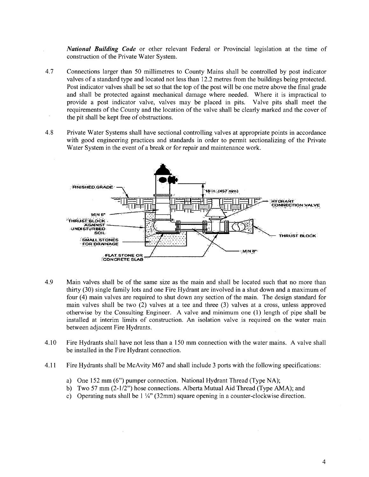National Building Code or other relevant Federal or Provincial legislation at the time of construction of the Private Water System.

- 4.7 Connections larger than 50 millimetres to County Mains shall be controlled by post indicator valves of standard type and located not less than 12.2 metres from the buildings being protected. Post indicator valves shall be set so that the top of the post will be one metre above the final grade and shall be protected against mechanical damage where needed. Where it is impractical to provide a post indicator valve, valves may be placed in pits. Valve pits shall meet the requirements of the County and the location of the valve shall be clearly marked and the cover of the pit shall be kept free of obstructions.
- 4.8 Private Water Systems shall have sectional controlling valves at appropriate points in accordance with good engineering practices and standards in order to permit sectionalizing of the Private Water System in the event of a break or for repair and maintenance work.



- 4.9 Main valves shall be of the same size as the main and shall be located such that no more than thirty  $(30)$  single family lots and one Fire Hydrant are involved in a shut down and a maximum of four (4) main valves are required to shut down any section of the main. The design standard for main valves shall be two  $(2)$  valves at a tee and three  $(3)$  valves at a cross, unless approved otherwise by the Consulting Engineer. A valve and minimum one  $(1)$  length of pipe shall be installed at interim limits of construction. An isolation valve is required on the water main between adjacent Fire Hydrants.
- 4.10 Fire Hydrants shall have not less than a 150 mm connection with the water mains. A valve shall be installed in the Fire Hydrant connection.
- 4.11 Fire Hydrants shall be McAvity M67 and shall include 3 ports with the following specifications:
	- a) One <sup>152</sup> mm (6") pumper connection. National Hydrant Thread (Type NA);
	- b) Two <sup>57</sup> mm (2-1/2") hose connections. Alberta Mutual Aid Thread (Type AMA); and
	- c) Operating nuts shall be  $1\frac{1}{4}$ " (32mm) square opening in a counter-clockwise direction.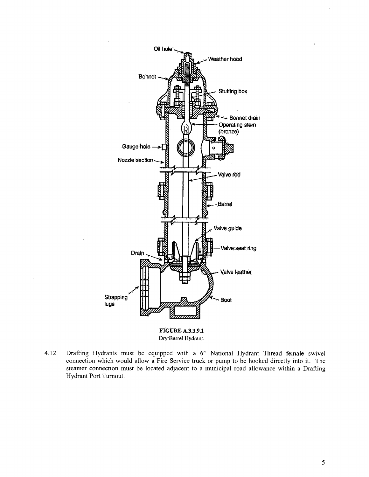

**FIGURE A.3.3.9.1** Dry Barrel Hydrant.

4.12 Drafting Hydrants must be equipped with a 6" National Hydrant Thread female swivel connection which would allow a Fire Service truck or pump to be hooked directly into it. The steamer connection must be located adjacent to a municipal road allowance within a Drafting Hydrant Port Turnout.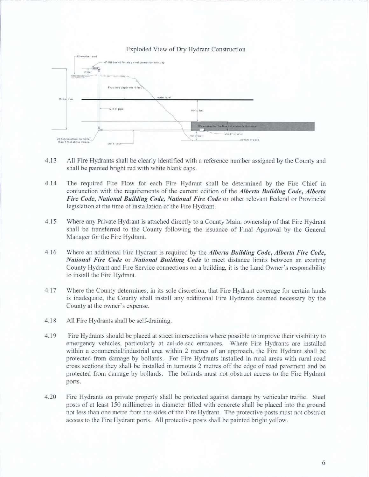Exploded View of Dry Hydrant Construction



- 4.13 All Fire Hydrants shall be clearly identified with a reference number assigned by the County and shall be painted bright red with white blank caps.
- 4.14 The required Fire Flow for each Fire Hydrant shall be determined by the Fire Chief in conjunction with the requirements of the current edition of the *Alberta Building Code*, *Alberta* Fire Code, National Building Code, National Fire Code or other relevant Federal or Provincial legislation at the time of installation of the Fire Hydrant.
- 4.15 Where any Private Hydrant is attached directly to a County Main, ownership of that Fire Hydrant shall be transferred to the County following the issuance of Final Approval by the General Manager for the Fire Hydrant.
- 4.16 Where an additional Fire Hydrant is required by the *Alberta Building Code*, *Alberta Fire Code*, National Fire Code or National Building Code to meet distance limits between an existing County Hydrant and Fire Service connections on building, it is the Land Owner's responsibility to install the Fire Hydrant.
- 4.17 Where the County determines, in its sole discretion, that Fire Hydrant coverage for certain lands is inadequate, the County shall install any additional Fire Hydrants deemed necessary by the County at the owner's expense.
- 4.18 All Fire Hydrants shall be self-draining.
- 4.19 Fire Hydrants should be placed at street intersections where possible to improve their visibility to emergency vehicles, particularly at cul-de-sac entrances. Where Fire Hydrants are installed within a commercial/industrial area within 2 metres of an approach, the Fire Hydrant shall be protected from damage by bollards. For Fire Hydrants installed in rural areas with rural road cross sections they shall be installed in turnouts 2 metres off the edge of road pavement and be protected from damage by bollards. The bollards must not obstruct access to the Fire Hydrant ports.
- 4.20 Fire Hydrants on private property shall be protected against damage by vehicular traffic. Steel posts of at least 150 millimetres in diameter filled with concrete shall be placed into the ground not less than one metre from the sides of the Fire Hydrant. The protective posts must not obstruct access to the Fire Hydrant ports. All protective posts shall be painted bright yellow.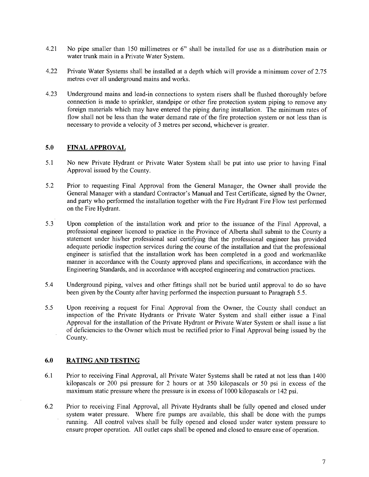- 4.21 No pipe smaller than 150 millimetres or 6" shall be installed for use as distribution main or water trunk main in a Private Water System.
- 4.22 Private Water Systems shall be installed at a depth which will provide a minimum cover of 2.75 metres over all underground mains and works.
- 4.23 Underground mains and lead-in connections to system risers shall be flushed thoroughly before connection is made to sprinkler, standpipe or other fire protection system piping to remove any foreign materials which may have entered the piping during installation. The minimum rates of flow shall not be less than the water demand rate of the fire protection system or not less than is necessary to provide a velocity of 3 metres per second, whichever is greater.

### 5.0 FINAL APPROVAL

- 5.1 No new Private Hydrant or Private Water System shall be put into use prior to having Final Approval issued by the County.
- 5.2 Prior to requesting Final Approval from the General Manager, the Owner shall provide the General Manager with a standard Contractor's Manual and Test Certificate, signed by the Owner, and party who performed the installation together with the Fire Hydrant Fire Flow test performed on the Fire Hydrant.
- 5.3 Upon completion of the installation work and prior to the issuance of the Final Approval, professional engineer licenced to practice in the Province of Alberta shall submit to the County statement under his/her professional seal certifying that the professional engineer has provided adequate periodic inspection services during the course of the installation and that the professional engineer is satisfied that the installation work has been completed in a good and workmanlike manner in accordance with the County approved plans and specifications, in accordance with the Engineering Standards, and in accordance with accepted engineering and construction practices.
- 5.4 Underground piping, valves and other fittings shall not be buried until approval to do so have been given by the County after having performed the inspection pursuant to Paragraph 5.5.
- 5.5 Upon receiving a request for Final Approval from the Owner, the County shall conduct an inspection of the Private Hydrants or Private Water System and shall either issue a Final Approval for the installation of the Private Hydrant or Private Water System or shall issue a list of deficiencies to the Owner which must be rectified prior to Final Approval being issued by the County.

# 6.0 RATING AND TESTING

- 6.1 Prior to receiving Final Approval, all Private Water Systems shall be rated at not less than 1400 kilopascals or 200 psi pressure for 2 hours or at 350 kilopascals or 50 psi in excess of the maximum static pressure where the pressure is in excess of 1000 kilopascals or 142 psi.
- 6.2 Prior to receiving Final Approval, all Private Hydrants shall be fully opened and closed under system water pressure. Where fire pumps are available, this shall be done with the pumps running. All control valves shall be fully opened and closed under water system pressure to ensure proper operation. All outlet caps shall be opened and closed to ensure ease of operation.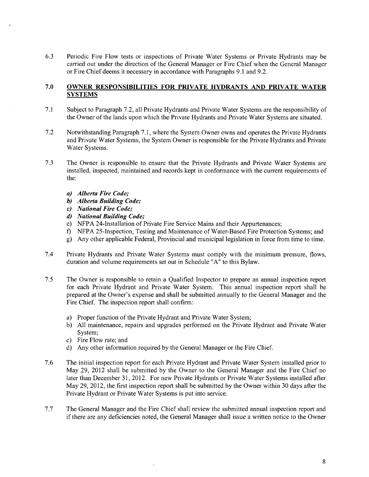6.3 Periodic Fire Flow tests or inspections of Private Water Systems or Private Hydrants may be carried out under the direction of the General Manager or Fire Chief when the General Manager or Fire Chief deems it necessary in accordance with Paragraphs 9.1 and 9.2.

### 7.0 OWNER RESPONSIBILITIES FOR PRIVATE HYDRANTS AND PRIVATE WATER **SYSTEMS**

- 7.1 Subject to Paragraph 7.2, all Private Hydrants and Private Water Systems are the responsibility of the Owner of the lands upon which the Private Hydrants and Private Water Systems are situated.
- 7.2 Notwithstanding Paragraph 7.1, where the System Owner owns and operates the Private Hydrants and Private Water Systems, the System Owner is responsible for the Private Hydrants and Private Water Systems.
- 7.3 The Owner is responsible to ensure that the Private Hydrants and Private Water Systems are installed, inspected, maintained and records kept in conformance with the current requirements of the:
	- a) Alberta Fire Code;
	- b) Alberta Building Code;
	- c) National Fire Code;
	- d) National Building Code;
	- e) NFPA 24-Installation of Private Fire Service Mains and'their Appurtenances;
	- f) NFPA 25-Inspection, Testing and Maintenance of Water-Based Fire Protection Systems; and
	- g) Any other applicable Federal, Provincial and municipal legislation in force from time to time.
- 7.4 Private Hydrants and Private Water Systems must comply with the minimum pressure, flows, duration and volume requirements set out in Schedule "A" to this Bylaw.
- 7.5 The Owner is responsible to retain Qualified Inspector to prepare an annual inspection report for each Private Hydrant and Private Water System. This annual inspection report shall be prepared at the Owner's expense and shall be submitted annually to the General Manager and the Fire Chief. The inspection report shall confirm:
	- a) Proper function of the Private Hydrant and Private Water System;
	- b) All maintenance, repairs and upgrades performed on the Private Hydrant and Private Water System;
	- c) Fire Flow rate; and
	- d) Any other information required by the General Manager or the Fire Chief.
- 7.6 The initial inspection report for each Private Hydrant and Private Water System installed prior to May 29, 2012 shall be submitted by the Owner to the General Manager and the Fire Chief no later than December 31, 2012. For new Private Hydrants or Private Water Systems installed after May 29, 2012, the first inspection report shall be submitted by the Owner within 30 days after the Private Hydrant or Private Water Systems is put into service.
- 7.7 The General Manager and the Fire Chief shall review the submitted annual inspection report and if there are any deficiencies noted, the General Manager shall issue a written notice to the Owner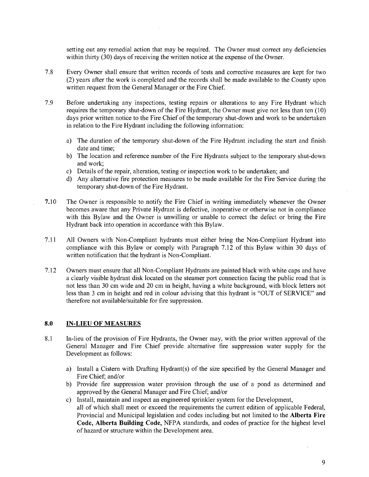setting out any remedial action that may be required. The Owner must correct any deficiencies within thirty (30) days of receiving the written notice at the expense of the Owner.

- 7.8 Every Owner shall ensure that written records of tests and corrective measures are kept for two (2) years after the work is completed and the records shall be made available to the County upon written request from the General Manager or the Fire Chief.
- 7.9 Before undertaking any inspections, testing repairs or alterations to any Fire Hydrant which requires the temporary shut-down of the Fire Hydrant, the Owner must give not less than ten (10) days prior written notice to the Fire Chief of the temporary shut-down and work to be undertaken in relation to the Fire Hydrant including the following information:
	- a) The duration of the temporary shut-down of the Fire Hydrant including the start and finish date and time;
	- b) The location and reference number of the Fire Hydrants subject to the temporary shut-down and work;
	- c) Details of the repair, alteration, testing or inspection work to be undertaken; and
	- d) Any alternative fire protection measures to be made available for the Fire Service during the temporary shut-down of the Fire Hydrant.
- 7.10 The Owner is responsible to notify the Fire Chief in writing immediately whenever the Owner becomes aware that any Private Hydrant is defective, inoperative or otherwise not in compliance with this Bylaw and the Owner is unwilling or unable to correct the defect or bring the Fire Hydrant back into operation in accordance with this Bylaw.
- 7.11 All Owners with Non-Compliant hydrants must either bring the Non-Compliant Hydrant into compliance with this Bylaw or comply with Paragraph 7.12 of this Bylaw within 30 days of written notification that the hydrant is Non-Compliant.
- 7.12 Owners must ensure that all Non-Compliant Hydrants are painted black with white caps and have clearly visible hydrant disk located on the steamer port connection facing the public road that is not less than 30 cm wide and 20 cm in height, having a white background, with block letters not less than 3 cm in height and red in colour advising that this hydrant is "OUT of SERVICE" and therefore not available/suitable for fire suppression.

### 8.0 IN-LIEU OF MEASURES

- 8.1 In-lieu of the provision of Fire Hydrants, the Owner may, with the prior written approval of the General Manager and Fire Chief provide alternative fire suppression water supply for the Development as follows:
	- a) Install a Cistern with Drafting Hydrant(s) of the size specified by the General Manager and Fire Chief; and/or
	- b) Provide fire suppression water provision through the use of a pond as determined and approved by the General Manager and Fire Chief; and/or
	- c) Install, maintain and inspect an engineered sprinkler system for the Development, all of which shall meet or exceed the requirements the current edition of applicable Federal, Provincial and Municipal legislation and codes including but not limited to the Alberta Fire Code, Alberta Building Code, NFPA standards, and codes of practice for the highest level of hazard or structure within the Development area.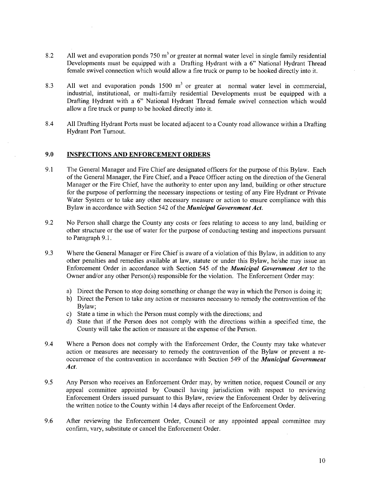- 8.2 All wet and evaporation ponds  $750 \text{ m}^3$  or greater at normal water level in single family residential Developments must be equipped with a Drafting Hydrant with a 6" National Hydrant Thread female swivel connection which would allow a fire truck or pump to be hooked directly into it.
- 8.3 All wet and evaporation ponds  $1500 \text{ m}^3$  or greater at normal water level in commercial, industrial, institutional, or multi-family residential Developments must be equipped with a Drafting Hydrant with a 6" National Hydrant Thread female swivel connection which would allow a fire truck or pump to be hooked directly into it.
- 8.4 All Drafting Hydrant Ports must be located adjacent to a County road allowance within a Drafting Hydrant Port Turnout.

#### 9.0 INSPECTIONS AND ENFORCEMENT ORDERS

- 9.1 The General Manager and Fire Chief are designated officers for the purpose of this Bylaw. Each of the General Manager, the Fire Chief, and Peace Officer acting on the direction of the General Manager or the Fire Chief, have the authority to enter upon any land, building or other structure for the purpose of performing the necessary inspections or testing of any Fire Hydrant or Private Water System or to take any other necessary measure or action to ensure compliance with this Bylaw in accordance with Section 542 of the Municipal Government Act.
- 9.2 No Person shall charge the County any costs or fees relating to access to any land, building or other structure or the use of water for the purpose of conducting testing and inspections pursuant to Paragraph 9.1.
- 9.3 Where the General Manager or Fire Chief is aware of a violation of this Bylaw, in addition to any other penalties and remedies available at law, statute or under this Bylaw, he/she may issue an Enforcement Order in accordance with Section 545 of the Municipal Government Act to the Owner and/or any other Person(s) responsible for the violation. The Enforcement Order may:
	- a) Direct the Person to stop doing something or change the way in which the Person is doing it;
	- b) Direct the Person to take any action or measures necessary to remedy the contravention of the Bylaw;
	- c) State a time in which the Person must comply with the directions; and
	- d) State that if the Person does not comply with the directions within a specified time, the County will take the action or measure at the expense of the Person.
- 9.4 Where a Person does not comply with the Enforcement Order, the County may take whatever action or measures are necessary to remedy the contravention of the Bylaw or prevent a reoccurrence of the contravention in accordance with Section 549 of the *Municipal Government* Act.
- 9.5 Any Person who receives an Enforcement Order may, by written notice, request Council or any appeal committee appointed by Council having jurisdiction with respect to reviewing Enforcement Orders issued pursuant to this Bylaw, review the Enforcement Order by delivering the written notice to the County within 14 days after receipt of the Enforcement Order.
- 9.6 After reviewing the Enforcement Order, Council or any appointed appeal committee may confirm, vary, substitute or cancel the Enforcement Order.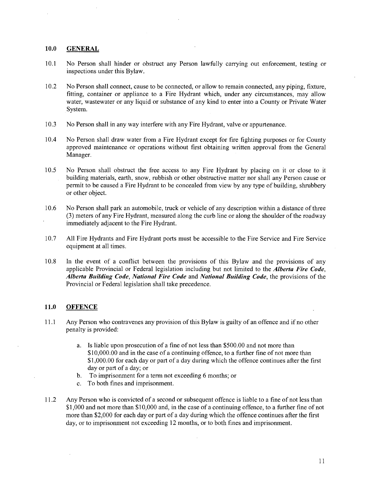#### 10.0 GENERAL

- 10.1 No Person shall hinder or obstruct any Person lawfully carrying out enforcement, testing or inspections under this Bylaw.
- 10.2 No Person shall connect, cause to be connected, or allow to remain connected, any piping, fixture, fitting, container or appliance to a Fire Hydrant which, under any circumstances, may allow water, wastewater or any liquid or substance of any kind to enter into a County or Private Water System.
- 10.3 No Person shall in any way interfere with any Fire Hydrant, valve or appurtenance.
- 10.4 No Person shall draw water from a Fire Hydrant except for fire fighting purposes or for County approved maintenance or operations without first obtaining written approval from the General Manager.
- 10.5 No Person shall obstruct the free access to any Fire Hydrant by placing on it or close to it building materials, earth, snow, rubbish or other obstructive matter nor shall any Person cause or permit to be caused a Fire Hydrant to be concealed from view by any type of building, shrubbery or other object.
- 10.6 No Person shall park an automobile, truck or vehicle of any description within a distance of three (3) meters of any Fire Hydrant, measured along the curb line or along the shoulder of the roadway immediately adjacent to the Fire Hydrant.
- 10.7 All Fire Hydrants and Fire Hydrant ports must be accessible to the Fire Service and Fire Service equipment at all times.
- 10.8 In the event of a conflict between the provisions of this Bylaw and the provisions of any applicable Provincial or Federal legislation including but not limited to the *Alberta Fire Code*, Alberta Building Code, National Fire Code and National Building Code, the provisions of the Provincial or Federal legislation shall take precedence.

### 11.0 OFFENCE

- 11.1 Any Person who contravenes any provision of this Bylaw is guilty of an offence and if no other penalty is provided:
	- a. Is liable upon prosecution of a fine of not less than \$500.00 and not more than  $$10,000.00$  and in the case of a continuing offence, to a further fine of not more than \$1,000.00 for each day or part of a day during which the offence continues after the first day or part of a day; or
	- b. To imprisonment for a term not exceeding 6 months; or
	- c. To both fines and imprisonment.
- 11.2 Any Person who is convicted of a second or subsequent offence is liable to a fine of not less than \$1,000 and not more than \$10,000 and, in the case of a continuing offence, to a further fine of not more than \$2,000 for each day or part of a day during which the offence continues after the first day, or to imprisonment not exceeding 12 months, or to both fines and imprisonment.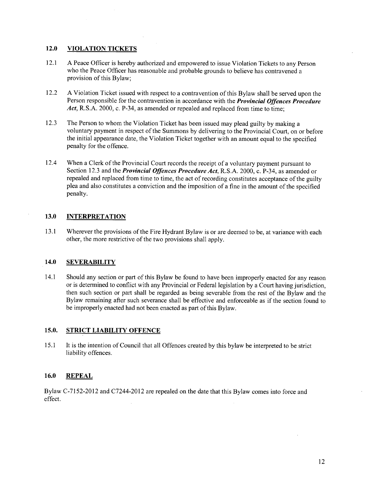# 12.0 VIOLATION TICKETS

- 12.1 A Peace Officer is hereby authorized and empowered to issue Violation Tickets to any Person who the Peace Officer has reasonable and probable grounds to believe has contravened provision of this Bylaw;
- 12.2 A Violation Ticket issued with respect to a contravention of this Bylaw shall be served upon the Person responsible for the contravention in accordance with the *Provincial Offences Procedure* Act, R.S.A. 2000, c. P-34, as amended or repealed and replaced from time to time;
- 12.3 The Person to whom the Violation Ticket has been issued may plead guilty by making a voluntary payment in respect of the Summons by delivering to the Provincial Court, on or before the initial appearance date, the Violation Ticket together with an amount equal to the specified penalty for the offence.
- 12.4 When a Clerk of the Provincial Court records the receipt of a voluntary payment pursuant to Section 12.3 and the *Provincial Offences Procedure Act*, R.S.A. 2000, c. P-34, as amended or repealed and replaced from time to time, the act of recording constitutes acceptance of the guilty plea and also constitutes a conviction and the imposition of a fine in the amount of the specified penalty.

# 13.0 INTERPRETATION

13.1 Wherever the provisions of the Fire Hydrant Bylaw is or are deemed to be, at variance with each other, the more restrictive of the two provisions shall apply.

# 14.0 SEVERABILITY

14.1 Should any section or part of this Bylaw be found to have been improperly enacted for any reason or is determined to conflict with any Provincial or Federal legislation by a Court having jurisdiction, then such section or part shall be regarded as being severable from the rest of the Bylaw and the Bylaw remaining after such severance shall be effective and enforceable as if the section found to be improperly enacted had not been enacted as part of this Bylaw.

# 15.0. STRICT LIABILITY OFFENCE

15.1 It is the intention of Council that all Offences created by this bylaw be interpreted to be strict liability offences.

# 16.0 REPEAL

Bylaw C-7152-2012 and C7244-2012 are repealed on the date that this Bylaw comes into force and effect.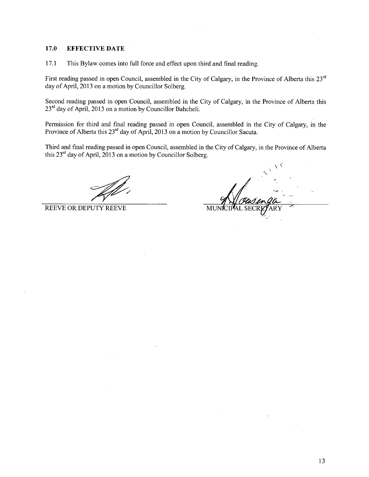### 17.0 EFFECTIVE DATE

17.1 This Bylaw comes into full force and effect upon third and final reading.

First reading passed in open Council, assembled in the City of Calgary, in the Province of Alberta this 23rd day of April, 2013 on a motion by Councillor Solberg.

Second reading passed in open Council, assembled in the City of Calgary, in the Province of Alberta this  $23<sup>rd</sup>$  day of April, 2013 on a motion by Councillor Bahcheli.

Permission for third and final reading passed in open Council, assembled in the City of Calgary, in the Province of Alberta this 23<sup>rd</sup> day of April, 2013 on a motion by Councillor Sacuta.

Third and final reading passed in open Council, assembled in the City of Calgary, in the Province of Alberta this  $23<sup>rd</sup>$  day of April, 2013 on a motion by Councillor Solberg.

REEVE OR DEPUTY REEVE MUNICIPAL SECRETARY MUNICIPAL SECRETARY MUNICIPAL SECRETARY MUNICIPAL SECRETARY OF MUNICIPAL SECRETARY OF MUNICIPAL SECRETARY OF MUNICIPAL SECRETARY OF MUNICIPAL SECRETARY OF MUNICIPAL SECRETARY OF MU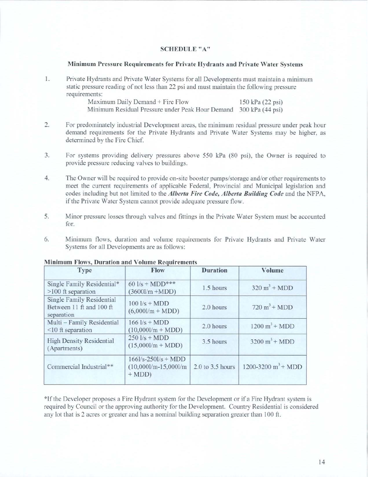# SCHEDULE"A"

### Minimum Pressure Requirements for Private Hydrants and Private Water Systems

1. Private Hydrants and Private Water Systems for all Developments must maintain a minimum static pressure reading of not less than 22 psi and must maintain the following pressure requirements:

| Maximum Daily Demand + Fire Flow                                  | 150 kPa (22 psi) |
|-------------------------------------------------------------------|------------------|
| Minimum Residual Pressure under Peak Hour Demand 300 kPa (44 psi) |                  |

- 2. For predominately industrial Development areas, the minimum residual pressure under peak hour demand requirements for the Private Hydrants and Private Water Systems may be higher, as determined by the Fire Chief.
- 3. For systems providing delivery pressures above 550 kPa (80 psi), the Owner is required to provide pressure reducing valves to buildings.
- 4. The Owner will be required to provide on-site booster pumps/storage and/or other requirements to meet the current requirements of applicable Federal, Provincial and Municipal legislation and codes including but not limited to the *Alberta Fire Code*, *Alberta Building Code* and the NFPA, if the Private Water System cannot provide adequate pressure flow.
- 5. Minor pressure losses through valves and fittings in the Private Water System must be accounted for.
- 6. Minimum flows, duration and volume requirements for Private Hydrants and Private Water Systems for all Developments are as follows:

| <b>Type</b>                                                                | Flow                                                         | <b>Duration</b>      | <b>Volume</b>                      |
|----------------------------------------------------------------------------|--------------------------------------------------------------|----------------------|------------------------------------|
| Single Family Residential*<br>$>100$ ft separation                         | $60$ $1/s + MDD***$<br>$(36001/m + MDD)$                     | 1.5 hours            | $320 \text{ m}^3 + \text{MDD}$     |
| <b>Single Family Residential</b><br>Between 11 ft and 100 ft<br>separation | $100$ $1/s + MDD$<br>$(6,0001/m + MDD)$                      | 2.0 hours            | $720 \text{ m}^3$ + MDD            |
| Multi - Family Residential<br>$<$ 10 ft separation                         | $166$ $1/s + MDD$<br>$(10,0001/m + MDD)$                     | 2.0 hours            | $1200 \text{ m}^3 + \text{MDD}$    |
| <b>High Density Residential</b><br>(Apartments)                            | $250$ $1/s + MDD$<br>$(15,0001/m + MDD)$                     | 3.5 hours            | $3200 \text{ m}^3 + \text{MDD}$    |
| Commercial Industrial**                                                    | $166$ l/s-250l/s + MDD<br>$(10,0001/m-15,0001/m)$<br>$+ MDD$ | $2.0$ to $3.5$ hours | $1200 - 3200$ m <sup>3</sup> + MDD |

### Minimum Flows, Duration and Volume Requirements

\*If the Developer proposes a Fire Hydrant system for the Development or if a Fire Hydrant system is required by Council or the approving authority for the Development. Country Residential is considered any lot that is 2 acres or greater and has a nominal building separation greater than  $100$  ft.